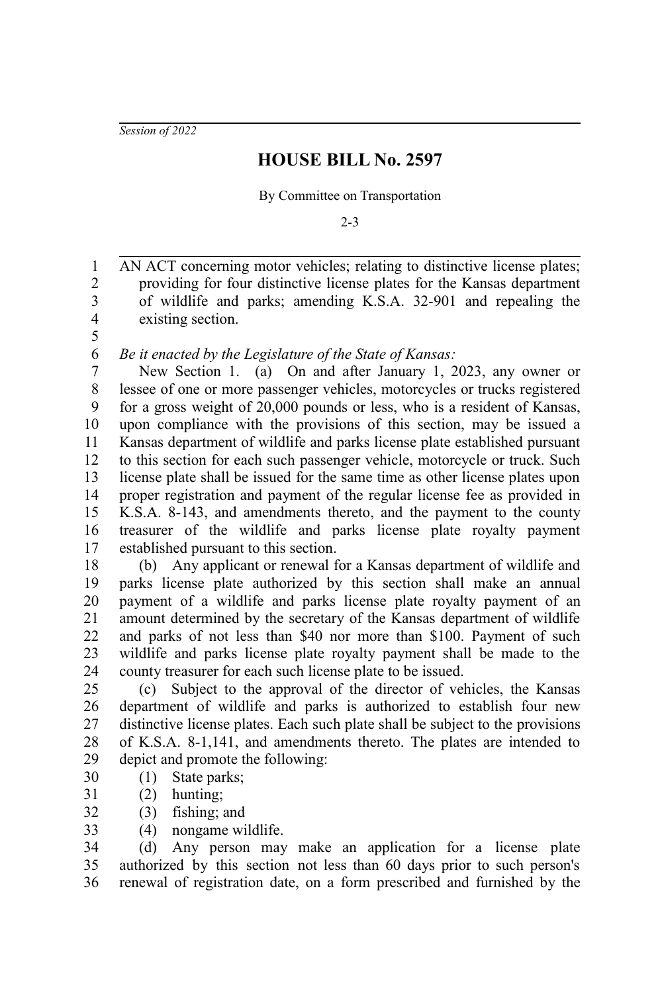*Session of 2022*

## **HOUSE BILL No. 2597**

By Committee on Transportation

2-3

AN ACT concerning motor vehicles; relating to distinctive license plates; providing for four distinctive license plates for the Kansas department of wildlife and parks; amending K.S.A. 32-901 and repealing the existing section. 1 2 3 4

5 6

*Be it enacted by the Legislature of the State of Kansas:*

New Section 1. (a) On and after January 1, 2023, any owner or lessee of one or more passenger vehicles, motorcycles or trucks registered for a gross weight of 20,000 pounds or less, who is a resident of Kansas, upon compliance with the provisions of this section, may be issued a Kansas department of wildlife and parks license plate established pursuant to this section for each such passenger vehicle, motorcycle or truck. Such license plate shall be issued for the same time as other license plates upon proper registration and payment of the regular license fee as provided in K.S.A. 8-143, and amendments thereto, and the payment to the county treasurer of the wildlife and parks license plate royalty payment established pursuant to this section. 7 8 9 10 11 12 13 14 15 16 17

(b) Any applicant or renewal for a Kansas department of wildlife and parks license plate authorized by this section shall make an annual payment of a wildlife and parks license plate royalty payment of an amount determined by the secretary of the Kansas department of wildlife and parks of not less than \$40 nor more than \$100. Payment of such wildlife and parks license plate royalty payment shall be made to the county treasurer for each such license plate to be issued. 18 19 20 21 22 23 24

(c) Subject to the approval of the director of vehicles, the Kansas department of wildlife and parks is authorized to establish four new distinctive license plates. Each such plate shall be subject to the provisions of K.S.A. 8-1,141, and amendments thereto. The plates are intended to depict and promote the following: 25 26 27 28 29

- (1) State parks; 30
- (2) hunting; 31
- (3) fishing; and 32
- (4) nongame wildlife. 33

(d) Any person may make an application for a license plate authorized by this section not less than 60 days prior to such person's renewal of registration date, on a form prescribed and furnished by the 34 35 36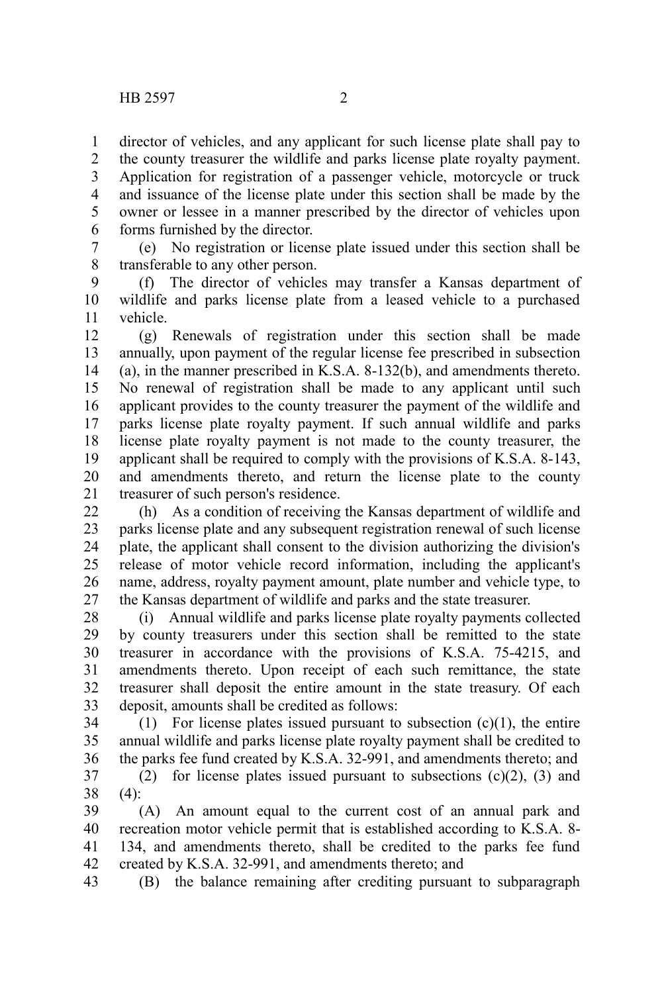director of vehicles, and any applicant for such license plate shall pay to 1

the county treasurer the wildlife and parks license plate royalty payment. Application for registration of a passenger vehicle, motorcycle or truck and issuance of the license plate under this section shall be made by the owner or lessee in a manner prescribed by the director of vehicles upon forms furnished by the director. 2 3 4 5 6

(e) No registration or license plate issued under this section shall be transferable to any other person. 7 8

(f) The director of vehicles may transfer a Kansas department of wildlife and parks license plate from a leased vehicle to a purchased vehicle. 9 10 11

(g) Renewals of registration under this section shall be made annually, upon payment of the regular license fee prescribed in subsection (a), in the manner prescribed in K.S.A. 8-132(b), and amendments thereto. No renewal of registration shall be made to any applicant until such applicant provides to the county treasurer the payment of the wildlife and parks license plate royalty payment. If such annual wildlife and parks license plate royalty payment is not made to the county treasurer, the applicant shall be required to comply with the provisions of K.S.A. 8-143, and amendments thereto, and return the license plate to the county treasurer of such person's residence. 12 13 14 15 16 17 18 19 20 21

(h) As a condition of receiving the Kansas department of wildlife and parks license plate and any subsequent registration renewal of such license plate, the applicant shall consent to the division authorizing the division's release of motor vehicle record information, including the applicant's name, address, royalty payment amount, plate number and vehicle type, to the Kansas department of wildlife and parks and the state treasurer. 22 23 24 25 26 27

(i) Annual wildlife and parks license plate royalty payments collected by county treasurers under this section shall be remitted to the state treasurer in accordance with the provisions of K.S.A. 75-4215, and amendments thereto. Upon receipt of each such remittance, the state treasurer shall deposit the entire amount in the state treasury. Of each deposit, amounts shall be credited as follows: 28 29 30 31 32 33

(1) For license plates issued pursuant to subsection  $(c)(1)$ , the entire annual wildlife and parks license plate royalty payment shall be credited to the parks fee fund created by K.S.A. 32-991, and amendments thereto; and 34 35 36

(2) for license plates issued pursuant to subsections  $(c)(2)$ ,  $(3)$  and  $(4)$ : 37 38

(A) An amount equal to the current cost of an annual park and recreation motor vehicle permit that is established according to K.S.A. 8- 134, and amendments thereto, shall be credited to the parks fee fund created by K.S.A. 32-991, and amendments thereto; and 39 40 41 42

(B) the balance remaining after crediting pursuant to subparagraph 43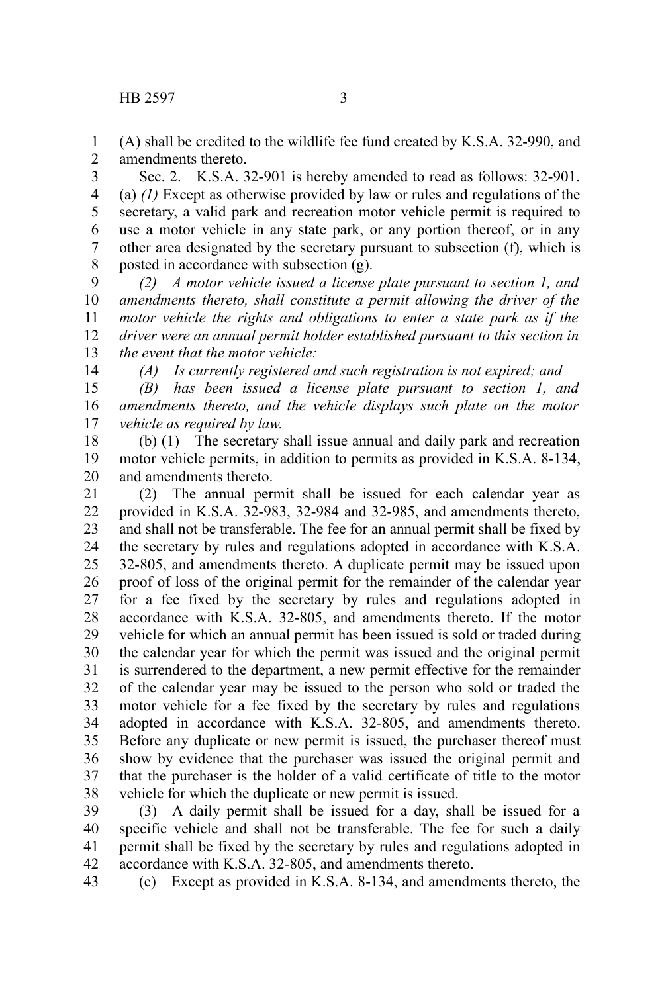(A) shall be credited to the wildlife fee fund created by K.S.A. 32-990, and amendments thereto. 1 2

Sec. 2. K.S.A. 32-901 is hereby amended to read as follows: 32-901. (a) *(1)* Except as otherwise provided by law or rules and regulations of the secretary, a valid park and recreation motor vehicle permit is required to use a motor vehicle in any state park, or any portion thereof, or in any other area designated by the secretary pursuant to subsection (f), which is posted in accordance with subsection (g). 3 4 5 6 7 8

*(2) A motor vehicle issued a license plate pursuant to section 1, and amendments thereto, shall constitute a permit allowing the driver of the motor vehicle the rights and obligations to enter a state park as if the driver were an annual permit holder established pursuant to this section in the event that the motor vehicle:* 9 10 11 12 13

14

*(A) Is currently registered and such registration is not expired; and* 

*(B) has been issued a license plate pursuant to section 1, and amendments thereto, and the vehicle displays such plate on the motor vehicle as required by law.*  15 16 17

(b) (1) The secretary shall issue annual and daily park and recreation motor vehicle permits, in addition to permits as provided in K.S.A. 8-134, and amendments thereto. 18 19 20

(2) The annual permit shall be issued for each calendar year as provided in K.S.A. 32-983, 32-984 and 32-985, and amendments thereto, and shall not be transferable. The fee for an annual permit shall be fixed by the secretary by rules and regulations adopted in accordance with K.S.A. 32-805, and amendments thereto. A duplicate permit may be issued upon proof of loss of the original permit for the remainder of the calendar year for a fee fixed by the secretary by rules and regulations adopted in accordance with K.S.A. 32-805, and amendments thereto. If the motor vehicle for which an annual permit has been issued is sold or traded during the calendar year for which the permit was issued and the original permit is surrendered to the department, a new permit effective for the remainder of the calendar year may be issued to the person who sold or traded the motor vehicle for a fee fixed by the secretary by rules and regulations adopted in accordance with K.S.A. 32-805, and amendments thereto. Before any duplicate or new permit is issued, the purchaser thereof must show by evidence that the purchaser was issued the original permit and that the purchaser is the holder of a valid certificate of title to the motor vehicle for which the duplicate or new permit is issued. 21 22 23 24 25 26 27 28 29 30 31 32 33 34 35 36 37 38

(3) A daily permit shall be issued for a day, shall be issued for a specific vehicle and shall not be transferable. The fee for such a daily permit shall be fixed by the secretary by rules and regulations adopted in accordance with K.S.A. 32-805, and amendments thereto. 39 40 41 42

(c) Except as provided in K.S.A. 8-134, and amendments thereto, the 43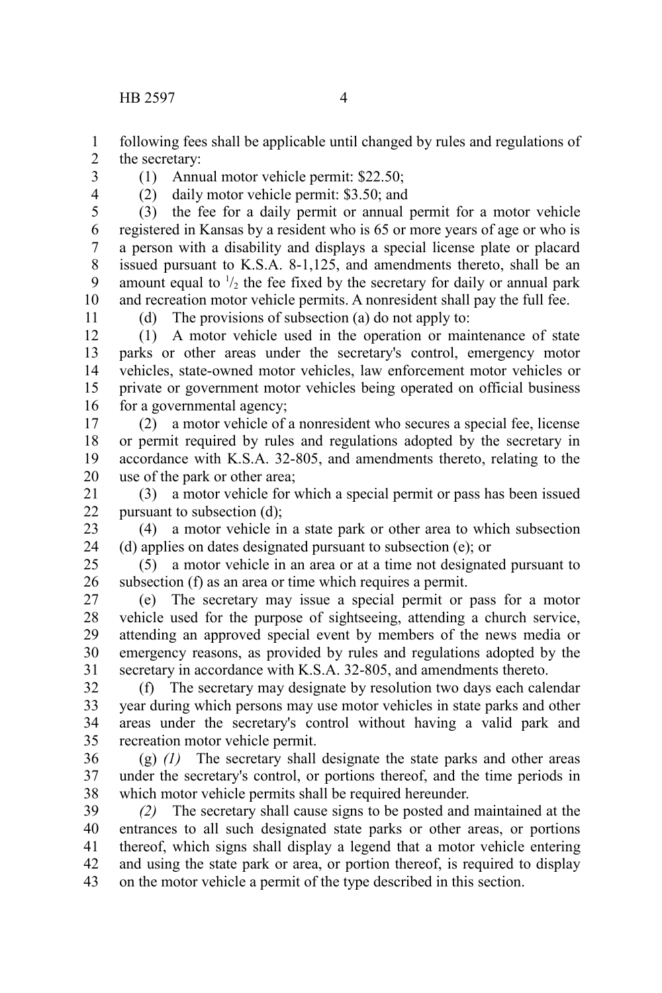HB 2597 4

following fees shall be applicable until changed by rules and regulations of the secretary: 1 2

- 3 4
	-
- (1) Annual motor vehicle permit: \$22.50; (2) daily motor vehicle permit: \$3.50; and

(3) the fee for a daily permit or annual permit for a motor vehicle registered in Kansas by a resident who is 65 or more years of age or who is a person with a disability and displays a special license plate or placard issued pursuant to K.S.A. 8-1,125, and amendments thereto, shall be an amount equal to  $\frac{1}{2}$  the fee fixed by the secretary for daily or annual park and recreation motor vehicle permits. A nonresident shall pay the full fee. 5 6 7 8 9 10

11

(d) The provisions of subsection (a) do not apply to:

(1) A motor vehicle used in the operation or maintenance of state parks or other areas under the secretary's control, emergency motor vehicles, state-owned motor vehicles, law enforcement motor vehicles or private or government motor vehicles being operated on official business for a governmental agency; 12 13 14 15 16

(2) a motor vehicle of a nonresident who secures a special fee, license or permit required by rules and regulations adopted by the secretary in accordance with K.S.A. 32-805, and amendments thereto, relating to the use of the park or other area; 17 18 19 20

(3) a motor vehicle for which a special permit or pass has been issued pursuant to subsection (d); 21 22

(4) a motor vehicle in a state park or other area to which subsection (d) applies on dates designated pursuant to subsection (e); or 23 24

(5) a motor vehicle in an area or at a time not designated pursuant to subsection (f) as an area or time which requires a permit. 25 26

(e) The secretary may issue a special permit or pass for a motor vehicle used for the purpose of sightseeing, attending a church service, attending an approved special event by members of the news media or emergency reasons, as provided by rules and regulations adopted by the secretary in accordance with K.S.A. 32-805, and amendments thereto. 27 28 29 30 31

(f) The secretary may designate by resolution two days each calendar year during which persons may use motor vehicles in state parks and other areas under the secretary's control without having a valid park and recreation motor vehicle permit. 32 33 34 35

(g) *(1)* The secretary shall designate the state parks and other areas under the secretary's control, or portions thereof, and the time periods in which motor vehicle permits shall be required hereunder. 36 37 38

*(2)* The secretary shall cause signs to be posted and maintained at the entrances to all such designated state parks or other areas, or portions thereof, which signs shall display a legend that a motor vehicle entering and using the state park or area, or portion thereof, is required to display on the motor vehicle a permit of the type described in this section. 39 40 41 42 43